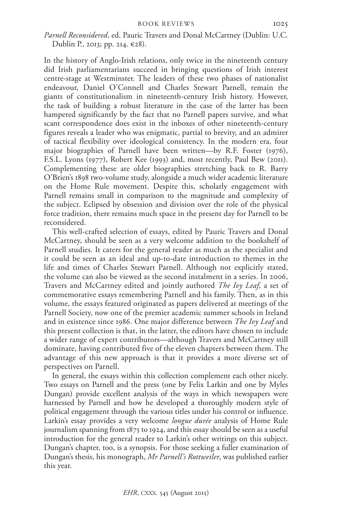*Parnell Reconsidered*, ed. Pauric Travers and Donal McCartney (Dublin: U.C. Dublin P., 2013; pp. 214. €28).

In the history of Anglo-Irish relations, only twice in the nineteenth century did Irish parliamentarians succeed in bringing questions of Irish interest centre-stage at Westminster. The leaders of these two phases of nationalist endeavour, Daniel O'Connell and Charles Stewart Parnell, remain the giants of constitutionalism in nineteenth-century Irish history. However, the task of building a robust literature in the case of the latter has been hampered significantly by the fact that no Parnell papers survive, and what scant correspondence does exist in the inboxes of other nineteenth-century figures reveals a leader who was enigmatic, partial to brevity, and an admirer of tactical flexibility over ideological consistency. In the modern era, four major biographies of Parnell have been written—by R.F. Foster (1976), F.S.L. Lyons (1977), Robert Kee (1993) and, most recently, Paul Bew (2011). Complementing these are older biographies stretching back to R. Barry O'Brien's 1898 two-volume study, alongside a much wider academic literature on the Home Rule movement. Despite this, scholarly engagement with Parnell remains small in comparison to the magnitude and complexity of the subject. Eclipsed by obsession and division over the role of the physical force tradition, there remains much space in the present day for Parnell to be reconsidered.

This well-crafted selection of essays, edited by Pauric Travers and Donal McCartney, should be seen as a very welcome addition to the bookshelf of Parnell studies. It caters for the general reader as much as the specialist and it could be seen as an ideal and up-to-date introduction to themes in the life and times of Charles Stewart Parnell. Although not explicitly stated, the volume can also be viewed as the second instalment in a series. In 2006, Travers and McCartney edited and jointly authored *The Ivy Leaf*, a set of commemorative essays remembering Parnell and his family. Then, as in this volume, the essays featured originated as papers delivered at meetings of the Parnell Society, now one of the premier academic summer schools in Ireland and in existence since 1986. One major difference between *The Ivy Leaf* and this present collection is that, in the latter, the editors have chosen to include a wider range of expert contributors—although Travers and McCartney still dominate, having contributed five of the eleven chapters between them. The advantage of this new approach is that it provides a more diverse set of perspectives on Parnell.

In general, the essays within this collection complement each other nicely. Two essays on Parnell and the press (one by Felix Larkin and one by Myles Dungan) provide excellent analysis of the ways in which newspapers were harnessed by Parnell and how he developed a thoroughly modern style of political engagement through the various titles under his control or influence. Larkin's essay provides a very welcome *longue durée* analysis of Home Rule journalism spanning from 1875 to 1924, and this essay should be seen as a useful introduction for the general reader to Larkin's other writings on this subject. Dungan's chapter, too, is a synopsis. For those seeking a fuller examination of Dungan's thesis, his monograph, *Mr Parnell's Rottweiler*, was published earlier this year.